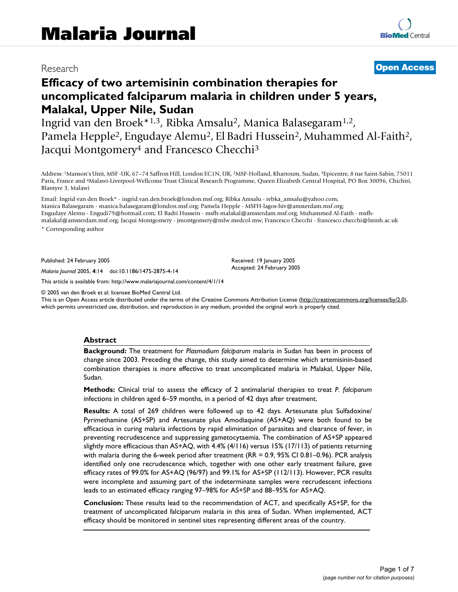## Research **[Open Access](http://www.biomedcentral.com/info/about/charter/)**

# **Efficacy of two artemisinin combination therapies for uncomplicated falciparum malaria in children under 5 years, Malakal, Upper Nile, Sudan**

Ingrid van den Broek\*1,3, Ribka Amsalu2, Manica Balasegaram1,2, Pamela Hepple2, Engudaye Alemu2, El Badri Hussein2, Muhammed Al-Faith2, Jacqui Montgomery<sup>4</sup> and Francesco Checchi<sup>3</sup>

Address: 1Manson's Unit, MSF -UK, 67–74 Saffron Hill, London EC1N, UK, 2MSF-Holland, Khartoum, Sudan, 3Epicentre, 8 rue Saint-Sabin, 75011 Paris, France and 4Malawi-Liverpool-Wellcome Trust Clinical Research Programme, Queen Elizabeth Central Hospital, PO Box 30096, Chichiri, Blantyre 3, Malawi

Email: Ingrid van den Broek\* - ingrid.van.den.broek@london.msf.org; Ribka Amsalu - rebka\_amsalu@yahoo.com; Manica Balasegaram - manica.balasegaram@london.msf.org; Pamela Hepple - MSFH-lagos-hiv@amsterdam.msf.org; Engudaye Alemu - Engudi79@hotmail.com; El Badri Hussein - msfh-malakal@amsterdam.msf.org; Muhammed Al-Faith - msfhmalakal@amsterdam.msf.org; Jacqui Montgomery - jmontgomery@mlw.medcol.mw; Francesco Checchi - francesco.checchi@lstmh.ac.uk

\* Corresponding author

Published: 24 February 2005

*Malaria Journal* 2005, **4**:14 doi:10.1186/1475-2875-4-14

[This article is available from: http://www.malariajournal.com/content/4/1/14](http://www.malariajournal.com/content/4/1/14)

© 2005 van den Broek et al; licensee BioMed Central Ltd.

This is an Open Access article distributed under the terms of the Creative Commons Attribution License [\(http://creativecommons.org/licenses/by/2.0\)](http://creativecommons.org/licenses/by/2.0), which permits unrestricted use, distribution, and reproduction in any medium, provided the original work is properly cited.

Received: 19 January 2005 Accepted: 24 February 2005

#### **Abstract**

**Background:** The treatment for *Plasmodium falciparum* malaria in Sudan has been in process of change since 2003. Preceding the change, this study aimed to determine which artemisinin-based combination therapies is more effective to treat uncomplicated malaria in Malakal, Upper Nile, Sudan.

**Methods:** Clinical trial to assess the efficacy of 2 antimalarial therapies to treat *P. falciparum* infections in children aged 6–59 months, in a period of 42 days after treatment.

**Results:** A total of 269 children were followed up to 42 days. Artesunate plus Sulfadoxine/ Pyrimethamine (AS+SP) and Artesunate plus Amodiaquine (AS+AQ) were both found to be efficacious in curing malaria infections by rapid elimination of parasites and clearance of fever, in preventing recrudescence and suppressing gametocytaemia. The combination of AS+SP appeared slightly more efficacious than AS+AQ, with 4.4% (4/116) versus 15% (17/113) of patients returning with malaria during the 6-week period after treatment (RR = 0.9, 95% CI 0.81-0.96). PCR analysis identified only one recrudescence which, together with one other early treatment failure, gave efficacy rates of 99.0% for AS+AQ (96/97) and 99.1% for AS+SP (112/113). However, PCR results were incomplete and assuming part of the indeterminate samples were recrudescent infections leads to an estimated efficacy ranging 97–98% for AS+SP and 88–95% for AS+AQ.

**Conclusion:** These results lead to the recommendation of ACT, and specifically AS+SP, for the treatment of uncomplicated falciparum malaria in this area of Sudan. When implemented, ACT efficacy should be monitored in sentinel sites representing different areas of the country.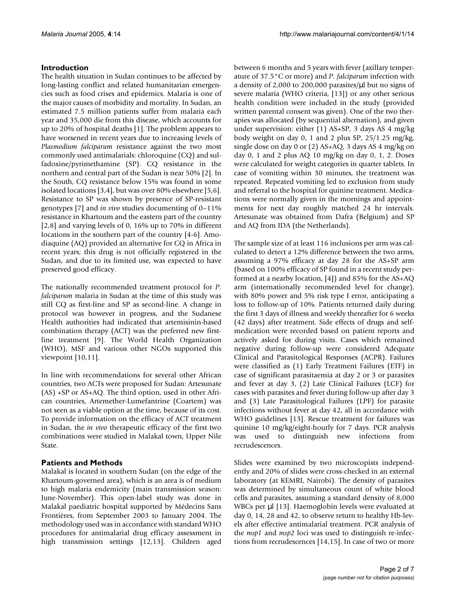### **Introduction**

The health situation in Sudan continues to be affected by long-lasting conflict and related humanitarian emergencies such as food crises and epidemics. Malaria is one of the major causes of morbidity and mortality. In Sudan, an estimated 7.5 million patients suffer from malaria each year and 35,000 die from this disease, which accounts for up to 20% of hospital deaths [1]. The problem appears to have worsened in recent years due to increasing levels of *Plasmodium falciparum* resistance against the two most commonly used antimalarials: chloroquine (CQ) and sulfadoxine/pyrimethamine (SP). CQ resistance in the northern and central part of the Sudan is near 50% [2]. In the South, CQ resistance below 15% was found in some isolated locations [3,4], but was over 80% elsewhere [5,6]. Resistance to SP was shown by presence of SP-resistant genotypes [7] and *in vivo* studies documenting of 0–11% resistance in Khartoum and the eastern part of the country [2,8] and varying levels of 0, 16% up to 70% in different locations in the southern part of the country [4-6]. Amodiaquine (AQ) provided an alternative for CQ in Africa in recent years; this drug is not officially registered in the Sudan, and due to its limited use, was expected to have preserved good efficacy.

The nationally recommended treatment protocol for *P. falciparum* malaria in Sudan at the time of this study was still CQ as first-line and SP as second-line. A change in protocol was however in progress, and the Sudanese Health authorities had indicated that artemisinin-based combination therapy (ACT) was the preferred new firstline treatment [9]. The World Health Organization (WHO), MSF and various other NGOs supported this viewpoint  $[10,11]$ .

In line with recommendations for several other African countries, two ACTs were proposed for Sudan: Artesunate (AS) +SP or AS+AQ. The third option, used in other African countries, Artemether-Lumefantrine (Coartem) was not seen as a viable option at the time, because of its cost. To provide information on the efficacy of ACT treatment in Sudan, the *in vivo* therapeutic efficacy of the first two combinations were studied in Malakal town, Upper Nile State.

### **Patients and Methods**

Malakal is located in southern Sudan (on the edge of the Khartoum-governed area), which is an area is of medium to high malaria endemicity (main transmission season: June-November). This open-label study was done in Malakal paediatric hospital supported by Médecins Sans Frontières, from September 2003 to January 2004. The methodology used was in accordance with standard WHO procedures for antimalarial drug efficacy assessment in high transmission settings [12,13]. Children aged

between 6 months and 5 years with fever (axillary temperature of 37.5°C or more) and *P. falciparum* infection with a density of 2,000 to 200,000 parasites/µl but no signs of severe malaria (WHO criteria, [13]) or any other serious health condition were included in the study (provided written parental consent was given). One of the two therapies was allocated (by sequential alternation), and given under supervision: either (1) AS+SP, 3 days AS 4 mg/kg body weight on day 0, 1 and 2 plus SP, 25/1.25 mg/kg, single dose on day 0 or (2) AS+AQ, 3 days AS 4 mg/kg on day 0, 1 and 2 plus AQ 10 mg/kg on day 0, 1, 2. Doses were calculated for weight categories in quarter tablets. In case of vomiting within 30 minutes, the treatment was repeated. Repeated vomiting led to exclusion from study and referral to the hospital for quinine treatment. Medications were normally given in the mornings and appointments for next day roughly matched 24 hr intervals. Artesunate was obtained from Dafra (Belgium) and SP and AQ from IDA (the Netherlands).

The sample size of at least 116 inclusions per arm was calculated to detect a 12% difference between the two arms, assuming a 97% efficacy at day 28 for the AS+SP arm (based on 100% efficacy of SP found in a recent study performed at a nearby location, [4]) and 85% for the AS+AQ arm (internationally recommended level for change), with 80% power and 5% risk type I error, anticipating a loss to follow-up of 10%. Patients returned daily during the first 3 days of illness and weekly thereafter for 6 weeks (42 days) after treatment. Side effects of drugs and selfmedication were recorded based on patient reports and actively asked for during visits. Cases which remained negative during follow-up were considered Adequate Clinical and Parasitological Responses (ACPR). Failures were classified as (1) Early Treatment Failures (ETF) in case of significant parasitaemia at day 2 or 3 or parasites and fever at day 3, (2) Late Clinical Failures (LCF) for cases with parasites and fever during follow-up after day 3 and (3) Late Parasitological Failures (LPF) for parasite infections without fever at day 42, all in accordance with WHO guidelines [13]. Rescue treatment for failures was quinine 10 mg/kg/eight-hourly for 7 days. PCR analysis was used to distinguish new infections from recrudescences.

Slides were examined by two microscopists independently and 20% of slides were cross-checked in an external laboratory (at KEMRI, Nairobi). The density of parasites was determined by simultaneous count of white blood cells and parasites, assuming a standard density of 8,000 WBCs per µl [13]. Haemoglobin levels were evaluated at day 0, 14, 28 and 42, to observe return to healthy Hb-levels after effective antimalarial treatment. PCR analysis of the *msp1* and *msp2* loci was used to distinguish re-infections from recrudescences [14,15]. In case of two or more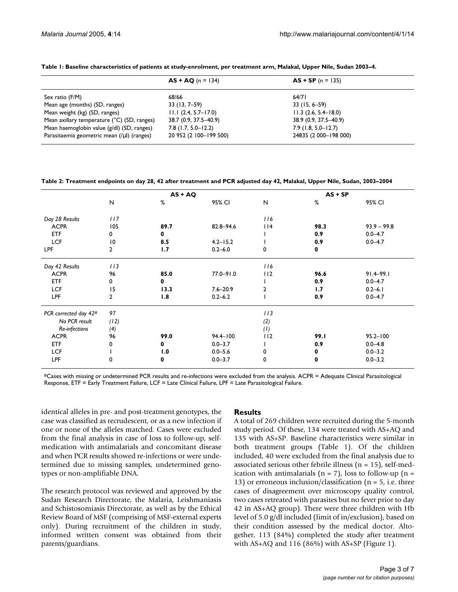|                        | $AS + SP$ (n = 135)     |
|------------------------|-------------------------|
| 68/66                  | 64/71                   |
| 33 (13, 7–59)          | $33(15, 6 - 59)$        |
| $11.1$ (2.4, 5.7–17.0) | $11.3(2.6, 5.4 - 18.0)$ |
| 38.7 (0.9, 37.5-40.9)  | 38.9 (0.9, 37.5–40.9)   |
| $7.8$ (1.7, 5.0-12.2)  | $7.9$ (1.8, 5.0–12.7)   |
| 20 952 (2 100-199 500) | 24835 (2 000-198 000)   |
|                        | $AS + AQ$ (n = 134)     |

<span id="page-2-0"></span>**Table 1: Baseline characteristics of patients at study-enrolment, per treatment arm, Malakal, Upper Nile, Sudan 2003–4.**

<span id="page-2-1"></span>**Table 2: Treatment endpoints on day 28, 42 after treatment and PCR adjusted day 42, Malakal, Upper Nile, Sudan, 2003–2004**

|                       | $AS + AQ$ |      |              | $AS + SP$      |      |               |
|-----------------------|-----------|------|--------------|----------------|------|---------------|
|                       | N         | %    | 95% CI       | N              | %    | 95% CI        |
| Day 28 Results        | 117       |      |              | 116            |      |               |
| <b>ACPR</b>           | 105       | 89.7 | 82.8-94.6    | 114            | 98.3 | $93.9 - 99.8$ |
| <b>ETF</b>            | 0         | 0    |              |                | 0.9  | $0.0 - 4.7$   |
| <b>LCF</b>            | 10        | 8.5  | $4.2 - 15.2$ |                | 0.9  | $0.0 - 4.7$   |
| LPF                   | 2         | 1.7  | $0.2 - 6.0$  | 0              | 0    |               |
| Day 42 Results        | 113       |      |              | 116            |      |               |
| <b>ACPR</b>           | 96        | 85.0 | 77.0-91.0    | 112            | 96.6 | $91.4 - 99.1$ |
| <b>ETF</b>            | 0         | 0    |              |                | 0.9  | $0.0 - 4.7$   |
| <b>LCF</b>            | 15        | 13.3 | $7.6 - 20.9$ | $\overline{2}$ | 1.7  | $0.2 - 6.1$   |
| LPF                   | 2         | 1.8  | $0.2 - 6.2$  |                | 0.9  | $0.0 - 4.7$   |
| PCR corrected day 42# | 97        |      |              | 113            |      |               |
| No PCR result         | (12)      |      |              | (2)            |      |               |
| Re-infections         | (4)       |      |              | (1)            |      |               |
| <b>ACPR</b>           | 96        | 99.0 | $94.4 - 100$ | 112            | 99.I | $95.2 - 100$  |
| <b>ETF</b>            | 0         | 0    | $0.0 - 3.7$  |                | 0.9  | $0.0 - 4.8$   |
| <b>LCF</b>            |           | 1.0  | $0.0 - 5.6$  | 0              | 0    | $0.0 - 3.2$   |
| LPF                   | 0         | 0    | $0.0 - 3.7$  | 0              | 0    | $0.0 - 3.2$   |

#Cases with missing or undetermined PCR results and re-infections were excluded from the analysis. ACPR = Adequate Clinical Parasitological Response, ETF = Early Treatment Failure, LCF = Late Clinical Failure, LPF = Late Parasitological Failure.

identical alleles in pre- and post-treatment genotypes, the case was classified as recrudescent, or as a new infection if one or none of the alleles matched. Cases were excluded from the final analysis in case of loss to follow-up, selfmedication with antimalarials and concomitant disease and when PCR results showed re-infections or were undetermined due to missing samples, undetermined genotypes or non-amplifiable DNA.

The research protocol was reviewed and approved by the Sudan Research Directorate, the Malaria, Leishmaniasis and Schistosomiasis Directorate, as well as by the Ethical Review Board of MSF (comprising of MSF-external experts only). During recruitment of the children in study, informed written consent was obtained from their parents/guardians.

#### **Results**

A total of 269 children were recruited during the 5-month study period. Of these, 134 were treated with AS+AQ and 135 with AS+SP. Baseline characteristics were similar in both treatment groups (Table [1](#page-2-0)). Of the children included, 40 were excluded from the final analysis due to associated serious other febrile illness ( $n = 15$ ), self-medication with antimalarials  $(n = 7)$ , loss to follow-up  $(n = 1)$ 13) or erroneous inclusion/classification ( $n = 5$ , i.e. three cases of disagreement over microscopy quality control, two cases retreated with parasites but no fever prior to day 42 in AS+AQ group). There were three children with Hb level of 5.0 g/dl included (limit of in/exclusion), based on their condition assessed by the medical doctor. Altogether, 113 (84%) completed the study after treatment with AS+AQ and 116 (86%) with AS+SP (Figure 1).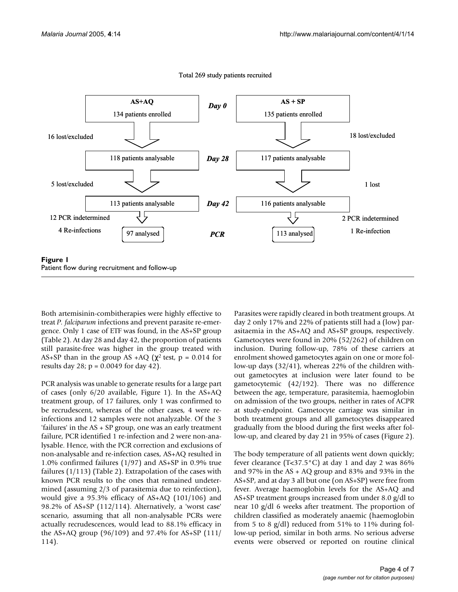

Total 269 study patients recruited

Both artemisinin-combitherapies were highly effective to treat *P. falciparum* infections and prevent parasite re-emergence. Only 1 case of ETF was found, in the AS+SP group (Table [2](#page-2-1)). At day 28 and day 42, the proportion of patients still parasite-free was higher in the group treated with AS+SP than in the group AS +AQ ( $\chi^2$  test, p = 0.014 for results day 28;  $p = 0.0049$  for day 42).

PCR analysis was unable to generate results for a large part of cases (only 6/20 available, Figure 1). In the AS+AQ treatment group, of 17 failures, only 1 was confirmed to be recrudescent, whereas of the other cases, 4 were reinfections and 12 samples were not analyzable. Of the 3 'failures' in the AS + SP group, one was an early treatment failure, PCR identified 1 re-infection and 2 were non-analysable. Hence, with the PCR correction and exclusions of non-analysable and re-infection cases, AS+AQ resulted in 1.0% confirmed failures (1/97) and AS+SP in 0.9% true failures (1/113) (Table [2\)](#page-2-1). Extrapolation of the cases with known PCR results to the ones that remained undetermined (assuming 2/3 of parasitemia due to reinfection), would give a 95.3% efficacy of AS+AQ (101/106) and 98.2% of AS+SP (112/114). Alternatively, a 'worst case' scenario, assuming that all non-analysable PCRs were actually recrudescences, would lead to 88.1% efficacy in the AS+AQ group (96/109) and 97.4% for AS+SP (111/ 114).

Parasites were rapidly cleared in both treatment groups. At day 2 only 17% and 22% of patients still had a (low) parasitaemia in the AS+AQ and AS+SP groups, respectively. Gametocytes were found in 20% (52/262) of children on inclusion. During follow-up, 78% of these carriers at enrolment showed gametocytes again on one or more follow-up days (32/41), whereas 22% of the children without gametocytes at inclusion were later found to be gametocytemic (42/192). There was no difference between the age, temperature, parasitemia, haemoglobin on admission of the two groups, neither in rates of ACPR at study-endpoint. Gametocyte carriage was similar in both treatment groups and all gametocytes disappeared gradually from the blood during the first weeks after follow-up, and cleared by day 21 in 95% of cases (Figure [2\)](#page-4-0).

The body temperature of all patients went down quickly; fever clearance (T<37.5°C) at day 1 and day 2 was 86% and 97% in the  $AS + AQ$  group and 83% and 93% in the AS+SP, and at day 3 all but one (on AS+SP) were free from fever. Average haemoglobin levels for the AS+AQ and AS+SP treatment groups increased from under 8.0 g/dl to near 10 g/dl 6 weeks after treatment. The proportion of children classified as moderately anaemic (haemoglobin from 5 to 8  $g/dl$ ) reduced from 51% to 11% during follow-up period, similar in both arms. No serious adverse events were observed or reported on routine clinical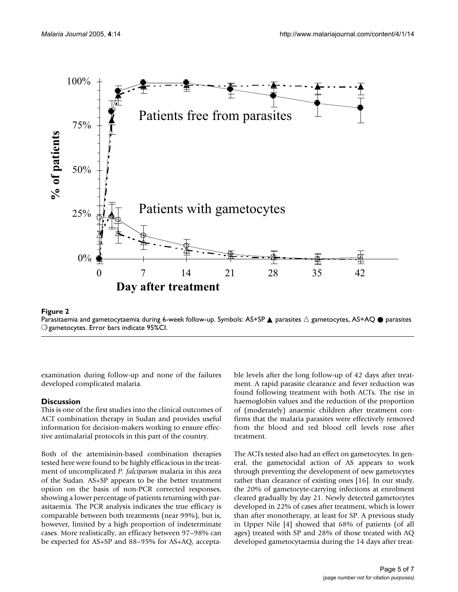<span id="page-4-0"></span>

**Figure 2** Parasitaemia and gametocytaemia during 6-week follow-up. Symbols: AS+SP  $\blacktriangle$  parasites  $\triangle$  gametocytes, AS+AQ  $\blacktriangleright$  parasites ❍ gametocytes. Error bars indicate 95%CI.

examination during follow-up and none of the failures developed complicated malaria.

### **Discussion**

This is one of the first studies into the clinical outcomes of ACT combination therapy in Sudan and provides useful information for decision-makers working to ensure effective antimalarial protocols in this part of the country.

Both of the artemisinin-based combination therapies tested here were found to be highly efficacious in the treatment of uncomplicated *P. falciparum* malaria in this area of the Sudan. AS+SP appears to be the better treatment option on the basis of non-PCR corrected responses, showing a lower percentage of patients returning with parasitaemia. The PCR analysis indicates the true efficacy is comparable between both treatments (near 99%), but is, however, limited by a high proportion of indeterminate cases. More realistically, an efficacy between 97–98% can be expected for AS+SP and 88–95% for AS+AQ, acceptable levels after the long follow-up of 42 days after treatment. A rapid parasite clearance and fever reduction was found following treatment with both ACTs. The rise in haemoglobin values and the reduction of the proportion of (moderately) anaemic children after treatment confirms that the malaria parasites were effectively removed from the blood and red blood cell levels rose after treatment.

The ACTs tested also had an effect on gametocytes. In general, the gametocidal action of AS appears to work through preventing the development of new gametocytes rather than clearance of existing ones [16]. In our study, the 20% of gametocyte-carrying infections at enrolment cleared gradually by day 21. Newly detected gametocytes developed in 22% of cases after treatment, which is lower than after monotherapy, at least for SP. A previous study in Upper Nile [4] showed that 68% of patients (of all ages) treated with SP and 28% of those treated with AQ developed gametocytaemia during the 14 days after treat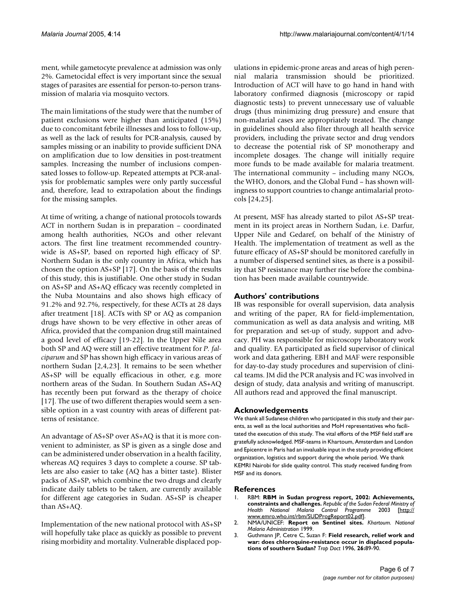ment, while gametocyte prevalence at admission was only 2%. Gametocidal effect is very important since the sexual stages of parasites are essential for person-to-person transmission of malaria via mosquito vectors.

The main limitations of the study were that the number of patient exclusions were higher than anticipated (15%) due to concomitant febrile illnesses and loss to follow-up, as well as the lack of results for PCR-analysis, caused by samples missing or an inability to provide sufficient DNA on amplification due to low densities in post-treatment samples. Increasing the number of inclusions compensated losses to follow-up. Repeated attempts at PCR-analysis for problematic samples were only partly successful and, therefore, lead to extrapolation about the findings for the missing samples.

At time of writing, a change of national protocols towards ACT in northern Sudan is in preparation – coordinated among health authorities, NGOs and other relevant actors. The first line treatment recommended countrywide is AS+SP, based on reported high efficacy of SP. Northern Sudan is the only country in Africa, which has chosen the option AS+SP [17]. On the basis of the results of this study, this is justifiable. One other study in Sudan on AS+SP and AS+AQ efficacy was recently completed in the Nuba Mountains and also shows high efficacy of 91.2% and 92.7%, respectively, for these ACTs at 28 days after treatment [18]. ACTs with SP or AQ as companion drugs have shown to be very effective in other areas of Africa, provided that the companion drug still maintained a good level of efficacy [19-22]. In the Upper Nile area both SP and AQ were still an effective treatment for *P. falciparum* and SP has shown high efficacy in various areas of northern Sudan [2,4,23]. It remains to be seen whether AS+SP will be equally efficacious in other, e.g. more northern areas of the Sudan. In Southern Sudan AS+AQ has recently been put forward as the therapy of choice [17]. The use of two different therapies would seem a sensible option in a vast country with areas of different patterns of resistance.

An advantage of AS+SP over AS+AQ is that it is more convenient to administer, as SP is given as a single dose and can be administered under observation in a health facility, whereas AQ requires 3 days to complete a course. SP tablets are also easier to take (AQ has a bitter taste). Blister packs of AS+SP, which combine the two drugs and clearly indicate daily tablets to be taken, are currently available for different age categories in Sudan. AS+SP is cheaper than AS+AQ.

Implementation of the new national protocol with AS+SP will hopefully take place as quickly as possible to prevent rising morbidity and mortality. Vulnerable displaced populations in epidemic-prone areas and areas of high perennial malaria transmission should be prioritized. Introduction of ACT will have to go hand in hand with laboratory confirmed diagnosis (microscopy or rapid diagnostic tests) to prevent unnecessary use of valuable drugs (thus minimizing drug pressure) and ensure that non-malarial cases are appropriately treated. The change in guidelines should also filter through all health service providers, including the private sector and drug vendors to decrease the potential risk of SP monotherapy and incomplete dosages. The change will initially require more funds to be made available for malaria treatment. The international community – including many NGOs, the WHO, donors, and the Global Fund – has shown willingness to support countries to change antimalarial protocols [24,25].

At present, MSF has already started to pilot AS+SP treatment in its project areas in Northern Sudan, i.e. Darfur, Upper Nile and Gedaref, on behalf of the Ministry of Health. The implementation of treatment as well as the future efficacy of AS+SP should be monitored carefully in a number of dispersed sentinel sites, as there is a possibility that SP resistance may further rise before the combination has been made available countrywide.

#### **Authors' contributions**

IB was responsible for overall supervision, data analysis and writing of the paper, RA for field-implementation, communication as well as data analysis and writing, MB for preparation and set-up of study, support and advocacy. PH was responsible for microscopy laboratory work and quality. EA participated as field supervisor of clinical work and data gathering. EBH and MAF were responsible for day-to-day study procedures and supervision of clinical teams. JM did the PCR analysis and FC was involved in design of study, data analysis and writing of manuscript. All authors read and approved the final manuscript.

#### **Acknowledgements**

We thank all Sudanese children who participated in this study and their parents, as well as the local authorities and MoH representatives who facilitated the execution of this study. The vital efforts of the MSF field staff are gratefully acknowledged. MSF-teams in Khartoum, Amsterdam and London and Epicentre in Paris had an invaluable input in the study providing efficient organization, logistics and support during the whole period. We thank KEMRI Nairobi for slide quality control. This study received funding from MSF and its donors.

#### **References**

- 1. RBM: **RBM in Sudan progress report, 2002: Achievements, constraints and challenges.** *Republic of the Sudan Federal Ministry of Health National Malaria Control Programme* 2003 [\[http://](http://www.emro.who.int/rbm/SUDProgReport02.pdf) [www.emro.who.int/rbm/SUDProgReport02.pdf\]](http://www.emro.who.int/rbm/SUDProgReport02.pdf).
- 2. NMA/UNICEF: **Report on Sentinel sites.** *Khartoum. National Malaria Administration* 1999.
- 3. Guthmann JP, Cetre C, Suzan F: **[Field research, relief work and](http://www.ncbi.nlm.nih.gov/entrez/query.fcgi?cmd=Retrieve&db=PubMed&dopt=Abstract&list_uids=8685983) [war: does chloroquine-resistance occur in displaced popula](http://www.ncbi.nlm.nih.gov/entrez/query.fcgi?cmd=Retrieve&db=PubMed&dopt=Abstract&list_uids=8685983)[tions of southern Sudan?](http://www.ncbi.nlm.nih.gov/entrez/query.fcgi?cmd=Retrieve&db=PubMed&dopt=Abstract&list_uids=8685983)** *Trop Doct* 1996, **26:**89-90.